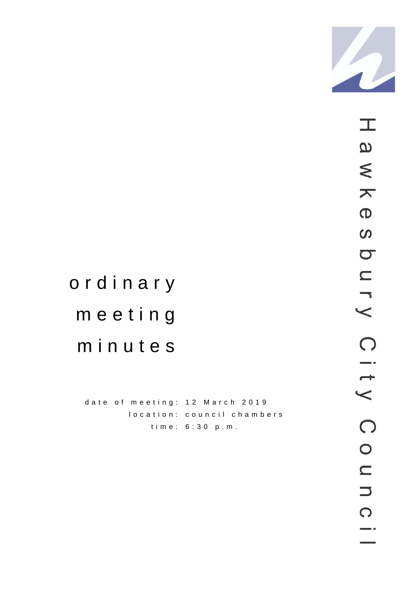

# ordinary meeting minutes

date of meeting: 12 March 2019 location: council chambers time: 6:30 p.m.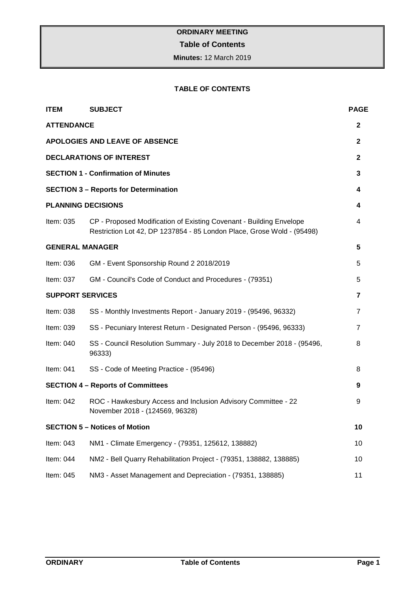# **Table of Contents**

**Minutes:** 12 March 2019

# **TABLE OF CONTENTS**

| <b>ITEM</b>                           | <b>SUBJECT</b>                                                                                                                                | <b>PAGE</b>  |  |
|---------------------------------------|-----------------------------------------------------------------------------------------------------------------------------------------------|--------------|--|
| <b>ATTENDANCE</b>                     |                                                                                                                                               | 2            |  |
| <b>APOLOGIES AND LEAVE OF ABSENCE</b> |                                                                                                                                               |              |  |
|                                       | <b>DECLARATIONS OF INTEREST</b>                                                                                                               | $\mathbf{2}$ |  |
|                                       | <b>SECTION 1 - Confirmation of Minutes</b>                                                                                                    | 3            |  |
|                                       | <b>SECTION 3 - Reports for Determination</b>                                                                                                  | 4            |  |
|                                       | <b>PLANNING DECISIONS</b>                                                                                                                     | 4            |  |
| Item: 035                             | CP - Proposed Modification of Existing Covenant - Building Envelope<br>Restriction Lot 42, DP 1237854 - 85 London Place, Grose Wold - (95498) | 4            |  |
| <b>GENERAL MANAGER</b>                |                                                                                                                                               | 5            |  |
| Item: 036                             | GM - Event Sponsorship Round 2 2018/2019                                                                                                      | 5            |  |
| Item: 037                             | GM - Council's Code of Conduct and Procedures - (79351)                                                                                       | 5            |  |
| <b>SUPPORT SERVICES</b>               |                                                                                                                                               | 7            |  |
| Item: 038                             | SS - Monthly Investments Report - January 2019 - (95496, 96332)                                                                               | 7            |  |
| Item: 039                             | SS - Pecuniary Interest Return - Designated Person - (95496, 96333)                                                                           | 7            |  |
| Item: 040                             | SS - Council Resolution Summary - July 2018 to December 2018 - (95496,<br>96333)                                                              | 8            |  |
| Item: 041                             | SS - Code of Meeting Practice - (95496)                                                                                                       | 8            |  |
|                                       | <b>SECTION 4 - Reports of Committees</b>                                                                                                      | 9            |  |
| Item: 042                             | ROC - Hawkesbury Access and Inclusion Advisory Committee - 22<br>November 2018 - (124569, 96328)                                              | 9            |  |
|                                       | <b>SECTION 5 - Notices of Motion</b>                                                                                                          | 10           |  |
| Item: 043                             | NM1 - Climate Emergency - (79351, 125612, 138882)                                                                                             | 10           |  |
| Item: 044                             | NM2 - Bell Quarry Rehabilitation Project - (79351, 138882, 138885)                                                                            | 10           |  |
| Item: 045                             | NM3 - Asset Management and Depreciation - (79351, 138885)                                                                                     | 11           |  |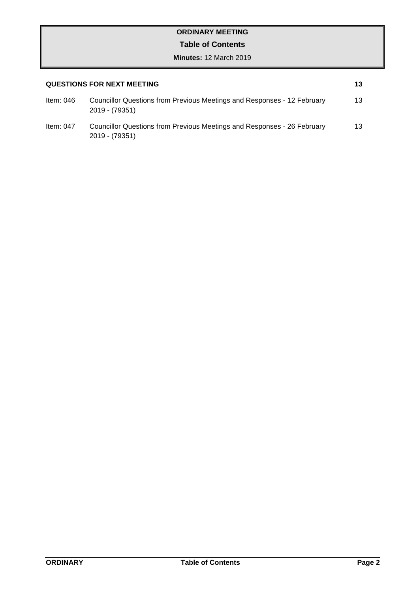# **Table of Contents**

| <b>QUESTIONS FOR NEXT MEETING</b> |                                                                                           |    |
|-----------------------------------|-------------------------------------------------------------------------------------------|----|
| ltem: 046                         | Councillor Questions from Previous Meetings and Responses - 12 February<br>2019 - (79351) | 13 |
| Item: $047$                       | Councillor Questions from Previous Meetings and Responses - 26 February<br>2019 - (79351) | 13 |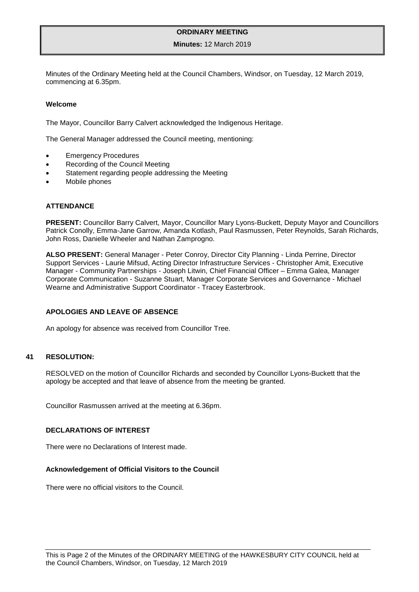#### **Minutes:** 12 March 2019

Minutes of the Ordinary Meeting held at the Council Chambers, Windsor, on Tuesday, 12 March 2019, commencing at 6.35pm.

#### **Welcome**

The Mayor, Councillor Barry Calvert acknowledged the Indigenous Heritage.

The General Manager addressed the Council meeting, mentioning:

- **Emergency Procedures**
- Recording of the Council Meeting
- Statement regarding people addressing the Meeting
- Mobile phones

#### <span id="page-4-0"></span>**ATTENDANCE**

**PRESENT:** Councillor Barry Calvert, Mayor, Councillor Mary Lyons-Buckett, Deputy Mayor and Councillors Patrick Conolly, Emma-Jane Garrow, Amanda Kotlash, Paul Rasmussen, Peter Reynolds, Sarah Richards, John Ross, Danielle Wheeler and Nathan Zamprogno.

**ALSO PRESENT:** General Manager - Peter Conroy, Director City Planning - Linda Perrine, Director Support Services - Laurie Mifsud, Acting Director Infrastructure Services - Christopher Amit, Executive Manager - Community Partnerships - Joseph Litwin, Chief Financial Officer – Emma Galea, Manager Corporate Communication - Suzanne Stuart, Manager Corporate Services and Governance - Michael Wearne and Administrative Support Coordinator - Tracey Easterbrook.

#### <span id="page-4-1"></span>**APOLOGIES AND LEAVE OF ABSENCE**

An apology for absence was received from Councillor Tree.

## **41 RESOLUTION:**

RESOLVED on the motion of Councillor Richards and seconded by Councillor Lyons-Buckett that the apology be accepted and that leave of absence from the meeting be granted.

Councillor Rasmussen arrived at the meeting at 6.36pm.

#### <span id="page-4-2"></span>**DECLARATIONS OF INTEREST**

There were no Declarations of Interest made.

#### **Acknowledgement of Official Visitors to the Council**

There were no official visitors to the Council.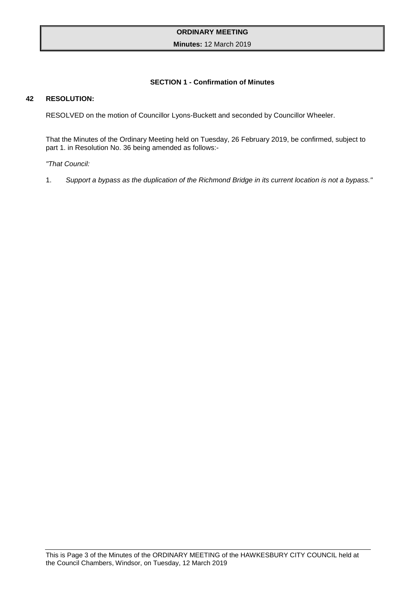## <span id="page-5-0"></span>**Minutes:** 12 March 2019

# **SECTION 1 - Confirmation of Minutes**

#### **42 RESOLUTION:**

RESOLVED on the motion of Councillor Lyons-Buckett and seconded by Councillor Wheeler.

That the Minutes of the Ordinary Meeting held on Tuesday, 26 February 2019, be confirmed, subject to part 1. in Resolution No. 36 being amended as follows:-

*"That Council:*

1. *Support a bypass as the duplication of the Richmond Bridge in its current location is not a bypass."*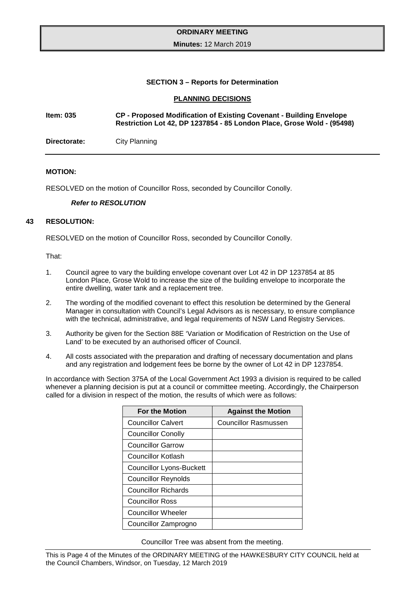#### **Minutes:** 12 March 2019

#### **SECTION 3 – Reports for Determination**

#### <span id="page-6-2"></span><span id="page-6-1"></span><span id="page-6-0"></span>**PLANNING DECISIONS**

# **Item: 035 CP - Proposed Modification of Existing Covenant - Building Envelope Restriction Lot 42, DP 1237854 - 85 London Place, Grose Wold - (95498)**

**Directorate:** City Planning

#### **MOTION:**

RESOLVED on the motion of Councillor Ross, seconded by Councillor Conolly.

#### *Refer to RESOLUTION*

#### **43 RESOLUTION:**

RESOLVED on the motion of Councillor Ross, seconded by Councillor Conolly.

#### That:

- 1. Council agree to vary the building envelope covenant over Lot 42 in DP 1237854 at 85 London Place, Grose Wold to increase the size of the building envelope to incorporate the entire dwelling, water tank and a replacement tree.
- 2. The wording of the modified covenant to effect this resolution be determined by the General Manager in consultation with Council's Legal Advisors as is necessary, to ensure compliance with the technical, administrative, and legal requirements of NSW Land Registry Services.
- 3. Authority be given for the Section 88E 'Variation or Modification of Restriction on the Use of Land' to be executed by an authorised officer of Council.
- 4. All costs associated with the preparation and drafting of necessary documentation and plans and any registration and lodgement fees be borne by the owner of Lot 42 in DP 1237854.

In accordance with Section 375A of the Local Government Act 1993 a division is required to be called whenever a planning decision is put at a council or committee meeting. Accordingly, the Chairperson called for a division in respect of the motion, the results of which were as follows:

| <b>For the Motion</b>      | <b>Against the Motion</b> |
|----------------------------|---------------------------|
| <b>Councillor Calvert</b>  | Councillor Rasmussen      |
| <b>Councillor Conolly</b>  |                           |
| <b>Councillor Garrow</b>   |                           |
| Councillor Kotlash         |                           |
| Councillor Lyons-Buckett   |                           |
| <b>Councillor Reynolds</b> |                           |
| <b>Councillor Richards</b> |                           |
| <b>Councillor Ross</b>     |                           |
| <b>Councillor Wheeler</b>  |                           |
| Councillor Zamprogno       |                           |

Councillor Tree was absent from the meeting.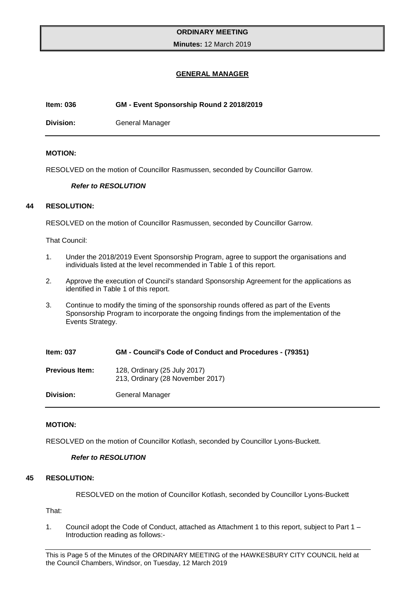#### **Minutes:** 12 March 2019

# <span id="page-7-1"></span><span id="page-7-0"></span>**GENERAL MANAGER**

#### **Item: 036 GM - Event Sponsorship Round 2 2018/2019**

**Division:** General Manager

#### **MOTION:**

RESOLVED on the motion of Councillor Rasmussen, seconded by Councillor Garrow.

#### *Refer to RESOLUTION*

#### **44 RESOLUTION:**

RESOLVED on the motion of Councillor Rasmussen, seconded by Councillor Garrow.

That Council:

- 1. Under the 2018/2019 Event Sponsorship Program, agree to support the organisations and individuals listed at the level recommended in Table 1 of this report.
- 2. Approve the execution of Council's standard Sponsorship Agreement for the applications as identified in Table 1 of this report.
- 3. Continue to modify the timing of the sponsorship rounds offered as part of the Events Sponsorship Program to incorporate the ongoing findings from the implementation of the Events Strategy.

| <b>Item: 037</b>      | <b>GM - Council's Code of Conduct and Procedures - (79351)</b>   |
|-----------------------|------------------------------------------------------------------|
| <b>Previous Item:</b> | 128, Ordinary (25 July 2017)<br>213, Ordinary (28 November 2017) |
| Division:             | <b>General Manager</b>                                           |

## **MOTION:**

RESOLVED on the motion of Councillor Kotlash, seconded by Councillor Lyons-Buckett.

# <span id="page-7-2"></span>*Refer to RESOLUTION*

# **45 RESOLUTION:**

RESOLVED on the motion of Councillor Kotlash, seconded by Councillor Lyons-Buckett

That:

1. Council adopt the Code of Conduct, attached as Attachment 1 to this report, subject to Part 1 – Introduction reading as follows:-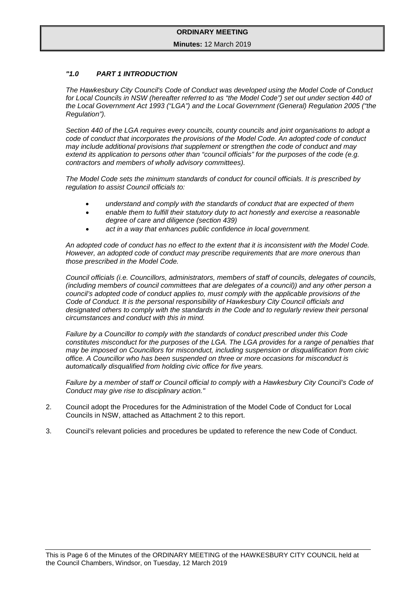#### **Minutes:** 12 March 2019

#### *"1.0 PART 1 INTRODUCTION*

*The Hawkesbury City Council's Code of Conduct was developed using the Model Code of Conduct*  for Local Councils in NSW (hereafter referred to as "the Model Code") set out under section 440 of *the Local Government Act 1993 ("LGA") and the Local Government (General) Regulation 2005 ("the Regulation").* 

*Section 440 of the LGA requires every councils, county councils and joint organisations to adopt a code of conduct that incorporates the provisions of the Model Code. An adopted code of conduct may include additional provisions that supplement or strengthen the code of conduct and may extend its application to persons other than "council officials" for the purposes of the code (e.g. contractors and members of wholly advisory committees).* 

*The Model Code sets the minimum standards of conduct for council officials. It is prescribed by regulation to assist Council officials to:*

- *understand and comply with the standards of conduct that are expected of them*
- *enable them to fulfill their statutory duty to act honestly and exercise a reasonable degree of care and diligence (section 439)*
- *act in a way that enhances public confidence in local government.*

*An adopted code of conduct has no effect to the extent that it is inconsistent with the Model Code. However, an adopted code of conduct may prescribe requirements that are more onerous than those prescribed in the Model Code.* 

*Council officials (i.e. Councillors, administrators, members of staff of councils, delegates of councils, (including members of council committees that are delegates of a council)) and any other person a council's adopted code of conduct applies to, must comply with the applicable provisions of the Code of Conduct. It is the personal responsibility of Hawkesbury City Council officials and designated others to comply with the standards in the Code and to regularly review their personal circumstances and conduct with this in mind.*

*Failure by a Councillor to comply with the standards of conduct prescribed under this Code constitutes misconduct for the purposes of the LGA. The LGA provides for a range of penalties that may be imposed on Councillors for misconduct, including suspension or disqualification from civic office. A Councillor who has been suspended on three or more occasions for misconduct is automatically disqualified from holding civic office for five years.*

*Failure by a member of staff or Council official to comply with a Hawkesbury City Council's Code of Conduct may give rise to disciplinary action."*

- 2. Council adopt the Procedures for the Administration of the Model Code of Conduct for Local Councils in NSW, attached as Attachment 2 to this report.
- 3. Council's relevant policies and procedures be updated to reference the new Code of Conduct.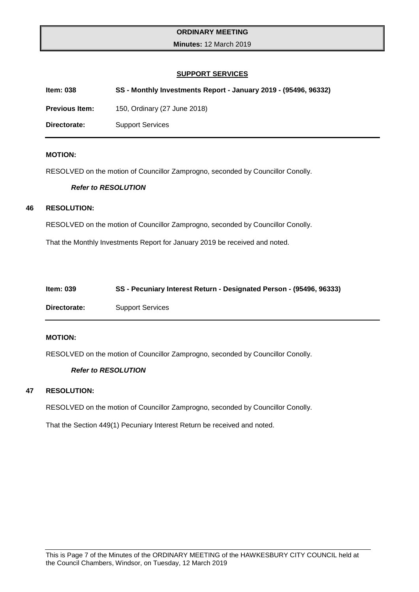**Minutes:** 12 March 2019

#### <span id="page-9-2"></span><span id="page-9-1"></span><span id="page-9-0"></span>**SUPPORT SERVICES**

**Item: 038 SS - Monthly Investments Report - January 2019 - (95496, 96332)**

**Previous Item:** 150, Ordinary (27 June 2018)

**Directorate:** Support Services

#### **MOTION:**

RESOLVED on the motion of Councillor Zamprogno, seconded by Councillor Conolly.

#### *Refer to RESOLUTION*

#### **46 RESOLUTION:**

RESOLVED on the motion of Councillor Zamprogno, seconded by Councillor Conolly.

That the Monthly Investments Report for January 2019 be received and noted.

| <b>Item: 039</b> | SS - Pecuniary Interest Return - Designated Person - (95496, 96333) |
|------------------|---------------------------------------------------------------------|
| Directorate:     | <b>Support Services</b>                                             |

#### **MOTION:**

RESOLVED on the motion of Councillor Zamprogno, seconded by Councillor Conolly.

#### *Refer to RESOLUTION*

# **47 RESOLUTION:**

RESOLVED on the motion of Councillor Zamprogno, seconded by Councillor Conolly.

That the Section 449(1) Pecuniary Interest Return be received and noted.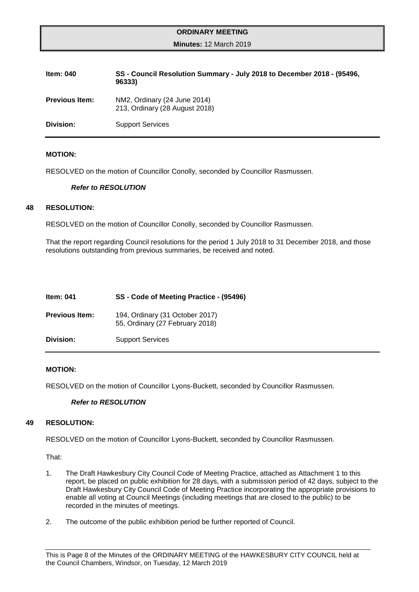#### <span id="page-10-0"></span>**Minutes:** 12 March 2019

| ltem: 040             | SS - Council Resolution Summary - July 2018 to December 2018 - (95496,<br>96333) |
|-----------------------|----------------------------------------------------------------------------------|
| <b>Previous Item:</b> | NM2, Ordinary (24 June 2014)<br>213, Ordinary (28 August 2018)                   |
| Division:             | <b>Support Services</b>                                                          |

#### **MOTION:**

RESOLVED on the motion of Councillor Conolly, seconded by Councillor Rasmussen.

#### *Refer to RESOLUTION*

#### **48 RESOLUTION:**

RESOLVED on the motion of Councillor Conolly, seconded by Councillor Rasmussen.

That the report regarding Council resolutions for the period 1 July 2018 to 31 December 2018, and those resolutions outstanding from previous summaries, be received and noted.

<span id="page-10-1"></span>

| ltem: 041             | SS - Code of Meeting Practice - (95496)                            |
|-----------------------|--------------------------------------------------------------------|
| <b>Previous Item:</b> | 194, Ordinary (31 October 2017)<br>55, Ordinary (27 February 2018) |
| Division:             | <b>Support Services</b>                                            |

#### **MOTION:**

RESOLVED on the motion of Councillor Lyons-Buckett, seconded by Councillor Rasmussen.

#### *Refer to RESOLUTION*

## **49 RESOLUTION:**

RESOLVED on the motion of Councillor Lyons-Buckett, seconded by Councillor Rasmussen.

That:

- 1. The Draft Hawkesbury City Council Code of Meeting Practice, attached as Attachment 1 to this report, be placed on public exhibition for 28 days, with a submission period of 42 days, subject to the Draft Hawkesbury City Council Code of Meeting Practice incorporating the appropriate provisions to enable all voting at Council Meetings (including meetings that are closed to the public) to be recorded in the minutes of meetings.
- 2. The outcome of the public exhibition period be further reported of Council.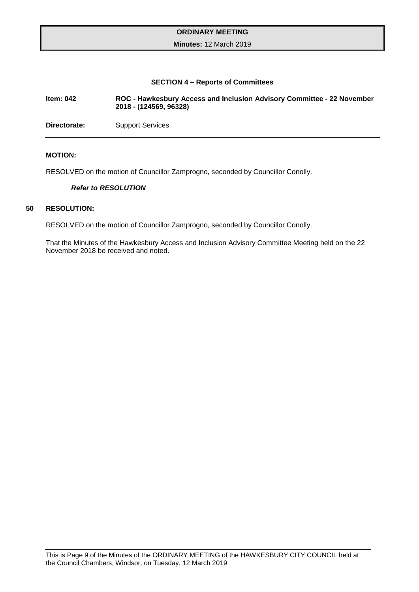#### <span id="page-11-0"></span>**Minutes:** 12 March 2019

#### <span id="page-11-1"></span>**SECTION 4 – Reports of Committees**

**Item: 042 ROC - Hawkesbury Access and Inclusion Advisory Committee - 22 November 2018 - (124569, 96328)**

**Directorate:** Support Services

#### **MOTION:**

RESOLVED on the motion of Councillor Zamprogno, seconded by Councillor Conolly.

#### *Refer to RESOLUTION*

#### **50 RESOLUTION:**

RESOLVED on the motion of Councillor Zamprogno, seconded by Councillor Conolly.

That the Minutes of the Hawkesbury Access and Inclusion Advisory Committee Meeting held on the 22 November 2018 be received and noted.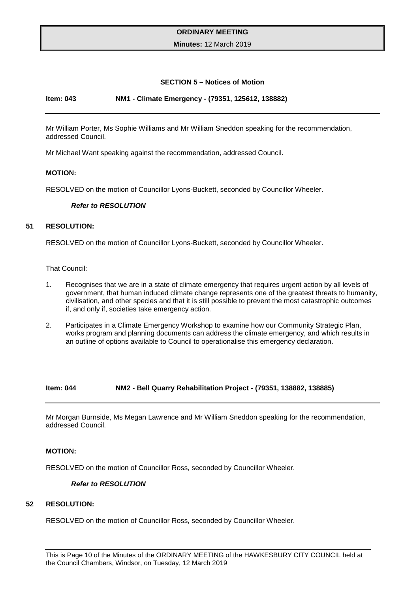#### <span id="page-12-1"></span><span id="page-12-0"></span>**Minutes:** 12 March 2019

#### **SECTION 5 – Notices of Motion**

#### **Item: 043 NM1 - Climate Emergency - (79351, 125612, 138882)**

Mr William Porter, Ms Sophie Williams and Mr William Sneddon speaking for the recommendation, addressed Council.

Mr Michael Want speaking against the recommendation, addressed Council.

#### **MOTION:**

RESOLVED on the motion of Councillor Lyons-Buckett, seconded by Councillor Wheeler.

#### *Refer to RESOLUTION*

# **51 RESOLUTION:**

RESOLVED on the motion of Councillor Lyons-Buckett, seconded by Councillor Wheeler.

That Council:

- 1. Recognises that we are in a state of climate emergency that requires urgent action by all levels of government, that human induced climate change represents one of the greatest threats to humanity, civilisation, and other species and that it is still possible to prevent the most catastrophic outcomes if, and only if, societies take emergency action.
- 2. Participates in a Climate Emergency Workshop to examine how our Community Strategic Plan, works program and planning documents can address the climate emergency, and which results in an outline of options available to Council to operationalise this emergency declaration.

#### **Item: 044 NM2 - Bell Quarry Rehabilitation Project - (79351, 138882, 138885)**

Mr Morgan Burnside, Ms Megan Lawrence and Mr William Sneddon speaking for the recommendation, addressed Council.

#### **MOTION:**

RESOLVED on the motion of Councillor Ross, seconded by Councillor Wheeler.

# <span id="page-12-2"></span>*Refer to RESOLUTION*

# **52 RESOLUTION:**

RESOLVED on the motion of Councillor Ross, seconded by Councillor Wheeler.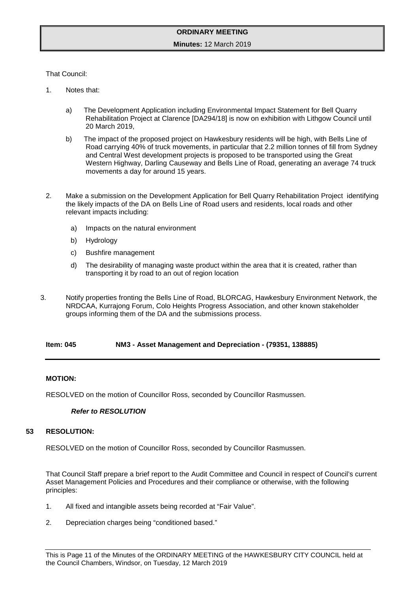#### **Minutes:** 12 March 2019

That Council:

- 1. Notes that:
	- a) The Development Application including Environmental Impact Statement for Bell Quarry Rehabilitation Project at Clarence [DA294/18] is now on exhibition with Lithgow Council until 20 March 2019,
	- b) The impact of the proposed project on Hawkesbury residents will be high, with Bells Line of Road carrying 40% of truck movements, in particular that 2.2 million tonnes of fill from Sydney and Central West development projects is proposed to be transported using the Great Western Highway, Darling Causeway and Bells Line of Road, generating an average 74 truck movements a day for around 15 years.
- 2. Make a submission on the Development Application for Bell Quarry Rehabilitation Project identifying the likely impacts of the DA on Bells Line of Road users and residents, local roads and other relevant impacts including:
	- a) Impacts on the natural environment
	- b) Hydrology
	- c) Bushfire management
	- d) The desirability of managing waste product within the area that it is created, rather than transporting it by road to an out of region location
- 3. Notify properties fronting the Bells Line of Road, BLORCAG, Hawkesbury Environment Network, the NRDCAA, Kurrajong Forum, Colo Heights Progress Association, and other known stakeholder groups informing them of the DA and the submissions process.

**Item: 045 NM3 - Asset Management and Depreciation - (79351, 138885)**

#### **MOTION:**

RESOLVED on the motion of Councillor Ross, seconded by Councillor Rasmussen.

## <span id="page-13-0"></span>*Refer to RESOLUTION*

#### **53 RESOLUTION:**

RESOLVED on the motion of Councillor Ross, seconded by Councillor Rasmussen.

That Council Staff prepare a brief report to the Audit Committee and Council in respect of Council's current Asset Management Policies and Procedures and their compliance or otherwise, with the following principles:

- 1. All fixed and intangible assets being recorded at "Fair Value".
- 2. Depreciation charges being "conditioned based."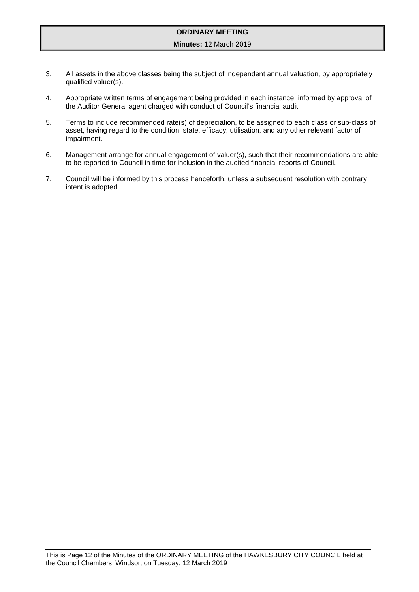- 3. All assets in the above classes being the subject of independent annual valuation, by appropriately qualified valuer(s).
- 4. Appropriate written terms of engagement being provided in each instance, informed by approval of the Auditor General agent charged with conduct of Council's financial audit.
- 5. Terms to include recommended rate(s) of depreciation, to be assigned to each class or sub-class of asset, having regard to the condition, state, efficacy, utilisation, and any other relevant factor of impairment.
- 6. Management arrange for annual engagement of valuer(s), such that their recommendations are able to be reported to Council in time for inclusion in the audited financial reports of Council.
- 7. Council will be informed by this process henceforth, unless a subsequent resolution with contrary intent is adopted.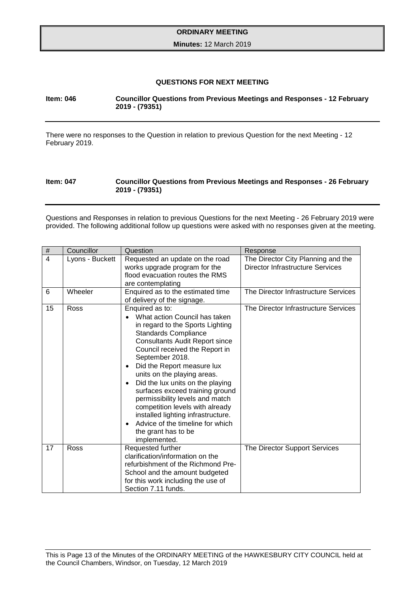#### <span id="page-15-0"></span>**Minutes:** 12 March 2019

# <span id="page-15-2"></span><span id="page-15-1"></span>**QUESTIONS FOR NEXT MEETING**

# **Item: 046 Councillor Questions from Previous Meetings and Responses - 12 February 2019 - (79351)**

There were no responses to the Question in relation to previous Question for the next Meeting - 12 February 2019.

#### **Item: 047 Councillor Questions from Previous Meetings and Responses - 26 February 2019 - (79351)**

Questions and Responses in relation to previous Questions for the next Meeting - 26 February 2019 were provided. The following additional follow up questions were asked with no responses given at the meeting.

| $\#$           | Councillor      | Question                                                                                                                                                                                                                                                                                                                                                                                                                                                                                                                                                  | Response                                                                      |
|----------------|-----------------|-----------------------------------------------------------------------------------------------------------------------------------------------------------------------------------------------------------------------------------------------------------------------------------------------------------------------------------------------------------------------------------------------------------------------------------------------------------------------------------------------------------------------------------------------------------|-------------------------------------------------------------------------------|
| $\overline{4}$ | Lyons - Buckett | Requested an update on the road<br>works upgrade program for the<br>flood evacuation routes the RMS<br>are contemplating                                                                                                                                                                                                                                                                                                                                                                                                                                  | The Director City Planning and the<br><b>Director Infrastructure Services</b> |
| 6              | Wheeler         | Enquired as to the estimated time<br>of delivery of the signage.                                                                                                                                                                                                                                                                                                                                                                                                                                                                                          | The Director Infrastructure Services                                          |
| 15             | Ross            | Enquired as to:<br>What action Council has taken<br>in regard to the Sports Lighting<br><b>Standards Compliance</b><br><b>Consultants Audit Report since</b><br>Council received the Report in<br>September 2018.<br>Did the Report measure lux<br>units on the playing areas.<br>Did the lux units on the playing<br>$\bullet$<br>surfaces exceed training ground<br>permissibility levels and match<br>competition levels with already<br>installed lighting infrastructure.<br>Advice of the timeline for which<br>the grant has to be<br>implemented. | The Director Infrastructure Services                                          |
| 17             | Ross            | Requested further<br>clarification/information on the<br>refurbishment of the Richmond Pre-<br>School and the amount budgeted<br>for this work including the use of<br>Section 7.11 funds.                                                                                                                                                                                                                                                                                                                                                                | The Director Support Services                                                 |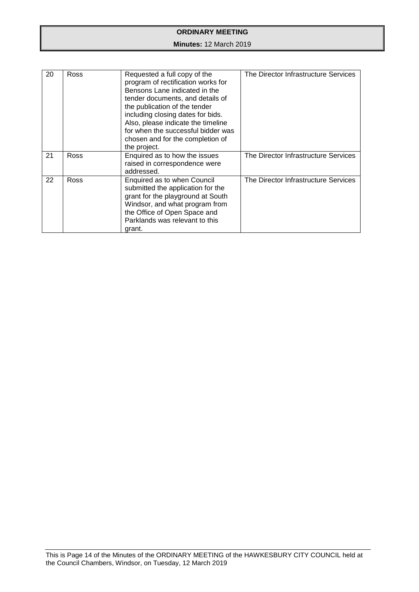| 20 | Ross | Requested a full copy of the<br>program of rectification works for<br>Bensons Lane indicated in the<br>tender documents, and details of<br>the publication of the tender<br>including closing dates for bids.<br>Also, please indicate the timeline<br>for when the successful bidder was<br>chosen and for the completion of<br>the project. | The Director Infrastructure Services |
|----|------|-----------------------------------------------------------------------------------------------------------------------------------------------------------------------------------------------------------------------------------------------------------------------------------------------------------------------------------------------|--------------------------------------|
| 21 | Ross | Enquired as to how the issues<br>raised in correspondence were<br>addressed.                                                                                                                                                                                                                                                                  | The Director Infrastructure Services |
| 22 | Ross | Enquired as to when Council<br>submitted the application for the<br>grant for the playground at South<br>Windsor, and what program from<br>the Office of Open Space and<br>Parklands was relevant to this<br>grant.                                                                                                                           | The Director Infrastructure Services |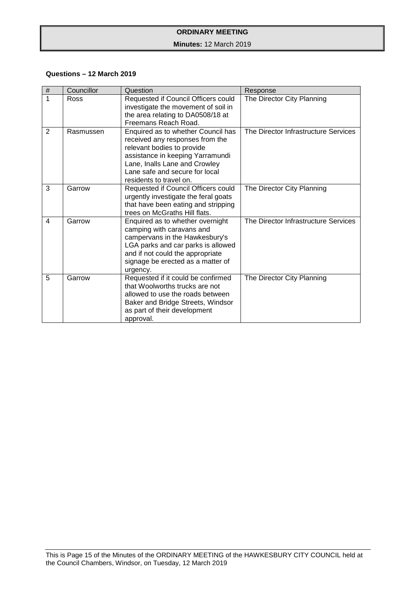# **Minutes:** 12 March 2019

# **Questions – 12 March 2019**

| $\#$           | Councillor | Question                                                                                                                                                                                                                              | Response                             |
|----------------|------------|---------------------------------------------------------------------------------------------------------------------------------------------------------------------------------------------------------------------------------------|--------------------------------------|
| 1              | Ross       | Requested if Council Officers could<br>investigate the movement of soil in<br>the area relating to DA0508/18 at<br>Freemans Reach Road.                                                                                               | The Director City Planning           |
| $\overline{2}$ | Rasmussen  | Enquired as to whether Council has<br>received any responses from the<br>relevant bodies to provide<br>assistance in keeping Yarramundi<br>Lane, Inalls Lane and Crowley<br>Lane safe and secure for local<br>residents to travel on. | The Director Infrastructure Services |
| 3              | Garrow     | Requested if Council Officers could<br>urgently investigate the feral goats<br>that have been eating and stripping<br>trees on McGraths Hill flats.                                                                                   | The Director City Planning           |
| 4              | Garrow     | Enquired as to whether overnight<br>camping with caravans and<br>campervans in the Hawkesbury's<br>LGA parks and car parks is allowed<br>and if not could the appropriate<br>signage be erected as a matter of<br>urgency.            | The Director Infrastructure Services |
| 5              | Garrow     | Requested if it could be confirmed<br>that Woolworths trucks are not<br>allowed to use the roads between<br>Baker and Bridge Streets, Windsor<br>as part of their development<br>approval.                                            | The Director City Planning           |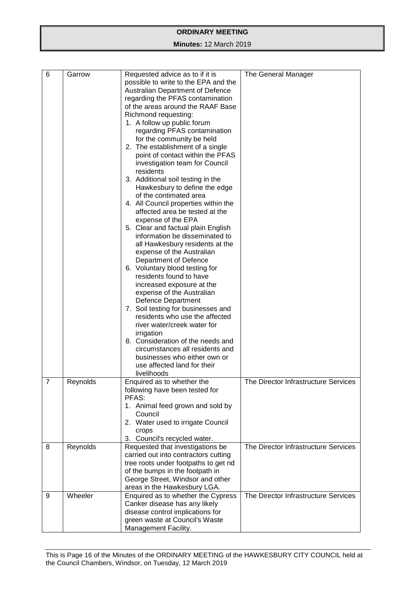| 6              | Garrow   | Requested advice as to if it is         |                                      |
|----------------|----------|-----------------------------------------|--------------------------------------|
|                |          | possible to write to the EPA and the    | The General Manager                  |
|                |          |                                         |                                      |
|                |          | <b>Australian Department of Defence</b> |                                      |
|                |          | regarding the PFAS contamination        |                                      |
|                |          | of the areas around the RAAF Base       |                                      |
|                |          | Richmond requesting:                    |                                      |
|                |          | 1. A follow up public forum             |                                      |
|                |          | regarding PFAS contamination            |                                      |
|                |          | for the community be held               |                                      |
|                |          | 2. The establishment of a single        |                                      |
|                |          | point of contact within the PFAS        |                                      |
|                |          | investigation team for Council          |                                      |
|                |          | residents                               |                                      |
|                |          | 3. Additional soil testing in the       |                                      |
|                |          | Hawkesbury to define the edge           |                                      |
|                |          | of the contimated area                  |                                      |
|                |          | 4. All Council properties within the    |                                      |
|                |          | affected area be tested at the          |                                      |
|                |          | expense of the EPA                      |                                      |
|                |          | 5. Clear and factual plain English      |                                      |
|                |          | information be disseminated to          |                                      |
|                |          | all Hawkesbury residents at the         |                                      |
|                |          | expense of the Australian               |                                      |
|                |          | Department of Defence                   |                                      |
|                |          | 6. Voluntary blood testing for          |                                      |
|                |          | residents found to have                 |                                      |
|                |          | increased exposure at the               |                                      |
|                |          | expense of the Australian               |                                      |
|                |          | <b>Defence Department</b>               |                                      |
|                |          | 7. Soil testing for businesses and      |                                      |
|                |          | residents who use the affected          |                                      |
|                |          | river water/creek water for             |                                      |
|                |          | irrigation                              |                                      |
|                |          | 8. Consideration of the needs and       |                                      |
|                |          | circumstances all residents and         |                                      |
|                |          | businesses who either own or            |                                      |
|                |          | use affected land for their             |                                      |
|                |          | livelihoods                             |                                      |
| $\overline{7}$ | Reynolds | Enquired as to whether the              | The Director Infrastructure Services |
|                |          | following have been tested for          |                                      |
|                |          | PFAS:                                   |                                      |
|                |          | 1. Animal feed grown and sold by        |                                      |
|                |          | Council                                 |                                      |
|                |          | 2. Water used to irrigate Council       |                                      |
|                |          | crops                                   |                                      |
|                |          | 3. Council's recycled water.            |                                      |
| 8              | Reynolds | Requested that investigations be        | The Director Infrastructure Services |
|                |          | carried out into contractors cutting    |                                      |
|                |          | tree roots under footpaths to get rid   |                                      |
|                |          | of the bumps in the footpath in         |                                      |
|                |          | George Street, Windsor and other        |                                      |
|                |          | areas in the Hawkesbury LGA.            |                                      |
| 9              | Wheeler  | Enquired as to whether the Cypress      | The Director Infrastructure Services |
|                |          | Canker disease has any likely           |                                      |
|                |          | disease control implications for        |                                      |
|                |          | green waste at Council's Waste          |                                      |
|                |          | Management Facility.                    |                                      |